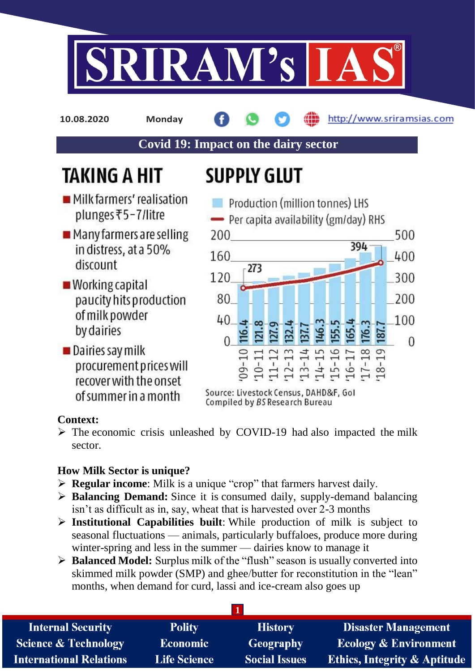

**10.08.2020 Monday**

http://www.sriramsias.com

## **Covid 19: Impact on the dairy sector**

# **TAKING A HIT**

# **SUPPLY GLUT**

- Milkfarmers' realisation plunges₹5-7/litre
- Many farmers are selling in distress, at a 50% discount
- **Morking capital** paucity hits production of milk powder by dairies
- Dairies say milk procurement prices will recover with the onset of summer in a month



Source: Livestock Census, DAHD&F, Gol Compiled by BS Research Bureau

### **Context:**

 $\triangleright$  The economic crisis unleashed by COVID-19 had also impacted the milk sector.

### **How Milk Sector is unique?**

- **Regular income**: Milk is a unique "crop" that farmers harvest daily.
- **Balancing Demand:** Since it is consumed daily, supply-demand balancing isn't as difficult as in, say, wheat that is harvested over 2-3 months
- **Institutional Capabilities built**: While production of milk is subject to seasonal fluctuations — animals, particularly buffaloes, produce more during winter-spring and less in the summer — dairies know to manage it
- **Balanced Model:** Surplus milk of the "flush" season is usually converted into skimmed milk powder (SMP) and ghee/butter for reconstitution in the "lean" months, when demand for curd, lassi and ice-cream also goes up

| <b>Internal Security</b>        | <b>Polity</b>       | <b>History</b>       | <b>Disaster Management</b>              |  |  |
|---------------------------------|---------------------|----------------------|-----------------------------------------|--|--|
| <b>Science &amp; Technology</b> | <b>Economic</b>     | Geography            | <b>Ecology &amp; Environment</b>        |  |  |
| <b>International Relations</b>  | <b>Life Science</b> | <b>Social Issues</b> | <b>Ethics, Integrity &amp; Aptitude</b> |  |  |